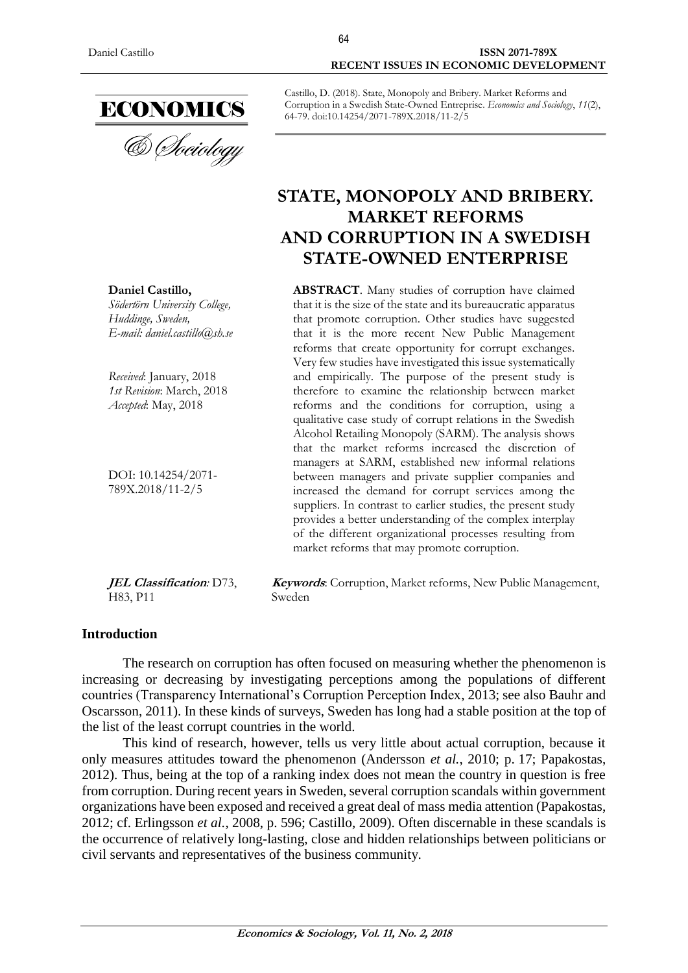

**Daniel Castillo,** *Södertörn University College, Huddinge, Sweden, E-mail: daniel.castillo@sh.se* 

*Received*: January, 2018 *1st Revision*: March, 2018 *Accepted*: May, 2018

DOI: 10.14254/2071- 789X.2018/11-2/5

**JEL Classification***:* D73, H83, P11

**Keywords**: Corruption, Market reforms, New Public Management, Sweden

#### **Introduction**

The research on corruption has often focused on measuring whether the phenomenon is increasing or decreasing by investigating perceptions among the populations of different countries (Transparency International's Corruption Perception Index, 2013; see also Bauhr and Oscarsson, 2011). In these kinds of surveys, Sweden has long had a stable position at the top of the list of the least corrupt countries in the world.

This kind of research, however, tells us very little about actual corruption, because it only measures attitudes toward the phenomenon (Andersson *et al.*, 2010; p. 17; Papakostas, 2012). Thus, being at the top of a ranking index does not mean the country in question is free from corruption. During recent years in Sweden, several corruption scandals within government organizations have been exposed and received a great deal of mass media attention (Papakostas, 2012; cf. Erlingsson *et al.*, 2008, p. 596; Castillo, 2009). Often discernable in these scandals is the occurrence of relatively long-lasting, close and hidden relationships between politicians or civil servants and representatives of the business community.

64

# **RECENT ISSUES IN ECONOMIC DEVELOPMENT**

Castillo, D. (2018). State, Monopoly and Bribery. Market Reforms and Corruption in a Swedish State-Owned Entreprise. *Economics and Sociology*, *11*(2), 64-79. doi:10.14254/2071-789X.2018/11-2/5

# **STATE, MONOPOLY AND BRIBERY. MARKET REFORMS AND CORRUPTION IN A SWEDISH STATE-OWNED ENTERPRISE**

**ABSTRACT**. Many studies of corruption have claimed that it is the size of the state and its bureaucratic apparatus that promote corruption. Other studies have suggested that it is the more recent New Public Management reforms that create opportunity for corrupt exchanges. Very few studies have investigated this issue systematically and empirically. The purpose of the present study is therefore to examine the relationship between market reforms and the conditions for corruption, using a qualitative case study of corrupt relations in the Swedish Alcohol Retailing Monopoly (SARM). The analysis shows that the market reforms increased the discretion of managers at SARM, established new informal relations between managers and private supplier companies and increased the demand for corrupt services among the suppliers. In contrast to earlier studies, the present study provides a better understanding of the complex interplay of the different organizational processes resulting from market reforms that may promote corruption.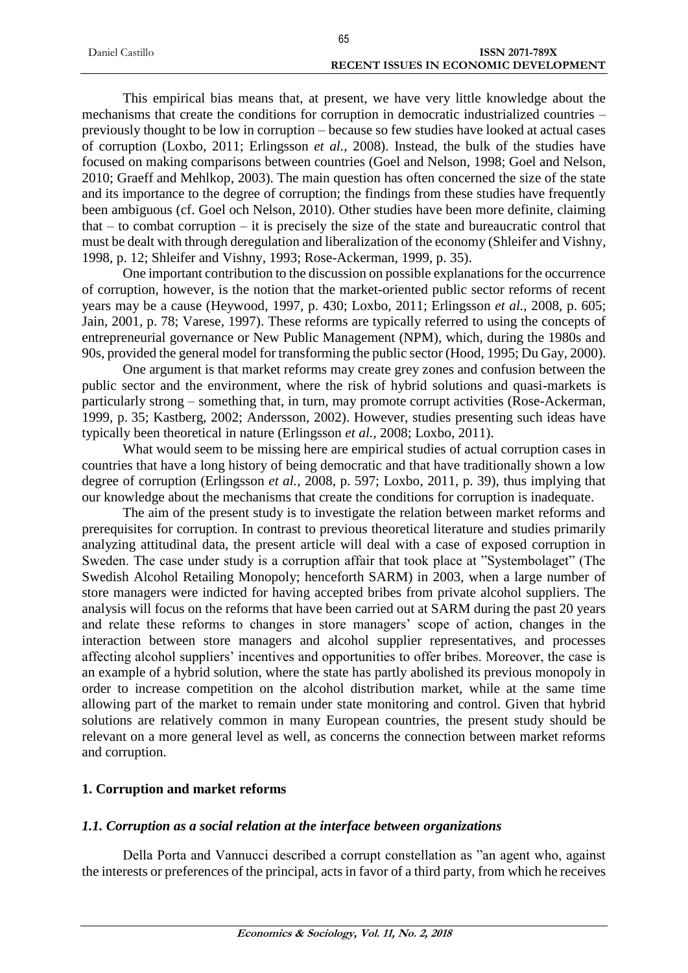|                 | 65                                           |
|-----------------|----------------------------------------------|
| Daniel Castillo | ISSN 2071-789X                               |
|                 | <b>RECENT ISSUES IN ECONOMIC DEVELOPMENT</b> |

This empirical bias means that, at present, we have very little knowledge about the mechanisms that create the conditions for corruption in democratic industrialized countries – previously thought to be low in corruption – because so few studies have looked at actual cases of corruption (Loxbo, 2011; Erlingsson *et al.*, 2008). Instead, the bulk of the studies have focused on making comparisons between countries (Goel and Nelson, 1998; Goel and Nelson, 2010; Graeff and Mehlkop, 2003). The main question has often concerned the size of the state and its importance to the degree of corruption; the findings from these studies have frequently been ambiguous (cf. Goel och Nelson, 2010). Other studies have been more definite, claiming that – to combat corruption – it is precisely the size of the state and bureaucratic control that must be dealt with through deregulation and liberalization of the economy (Shleifer and Vishny, 1998, p. 12; Shleifer and Vishny, 1993; Rose-Ackerman, 1999, p. 35).

One important contribution to the discussion on possible explanations for the occurrence of corruption, however, is the notion that the market-oriented public sector reforms of recent years may be a cause (Heywood, 1997, p. 430; Loxbo, 2011; Erlingsson *et al.*, 2008, p. 605; Jain, 2001, p. 78; Varese, 1997). These reforms are typically referred to using the concepts of entrepreneurial governance or New Public Management (NPM), which, during the 1980s and 90s, provided the general model for transforming the public sector (Hood, 1995; Du Gay, 2000).

One argument is that market reforms may create grey zones and confusion between the public sector and the environment, where the risk of hybrid solutions and quasi-markets is particularly strong – something that, in turn, may promote corrupt activities (Rose-Ackerman, 1999, p. 35; Kastberg, 2002; Andersson, 2002). However, studies presenting such ideas have typically been theoretical in nature (Erlingsson *et al.*, 2008; Loxbo, 2011).

What would seem to be missing here are empirical studies of actual corruption cases in countries that have a long history of being democratic and that have traditionally shown a low degree of corruption (Erlingsson *et al.*, 2008, p. 597; Loxbo, 2011, p. 39), thus implying that our knowledge about the mechanisms that create the conditions for corruption is inadequate.

The aim of the present study is to investigate the relation between market reforms and prerequisites for corruption. In contrast to previous theoretical literature and studies primarily analyzing attitudinal data, the present article will deal with a case of exposed corruption in Sweden. The case under study is a corruption affair that took place at "Systembolaget" (The Swedish Alcohol Retailing Monopoly; henceforth SARM) in 2003, when a large number of store managers were indicted for having accepted bribes from private alcohol suppliers. The analysis will focus on the reforms that have been carried out at SARM during the past 20 years and relate these reforms to changes in store managers' scope of action, changes in the interaction between store managers and alcohol supplier representatives, and processes affecting alcohol suppliers' incentives and opportunities to offer bribes. Moreover, the case is an example of a hybrid solution, where the state has partly abolished its previous monopoly in order to increase competition on the alcohol distribution market, while at the same time allowing part of the market to remain under state monitoring and control. Given that hybrid solutions are relatively common in many European countries, the present study should be relevant on a more general level as well, as concerns the connection between market reforms and corruption.

# **1. Corruption and market reforms**

# *1.1. Corruption as a social relation at the interface between organizations*

Della Porta and Vannucci described a corrupt constellation as "an agent who, against the interests or preferences of the principal, acts in favor of a third party, from which he receives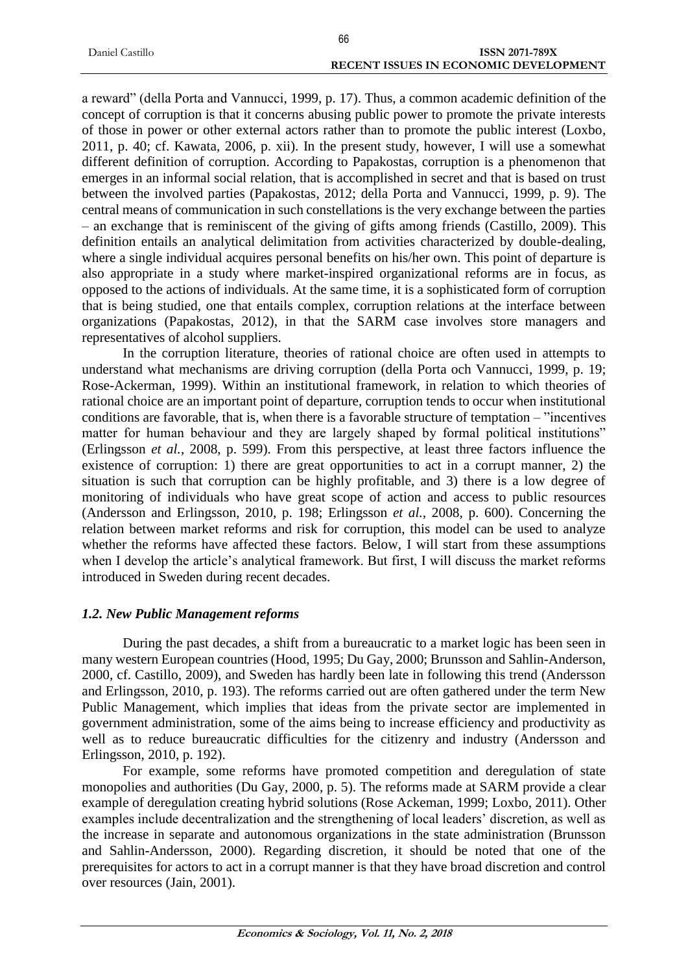|                 | 66                                           |
|-----------------|----------------------------------------------|
| Daniel Castillo | <b>ISSN 2071-789X</b>                        |
|                 | <b>RECENT ISSUES IN ECONOMIC DEVELOPMENT</b> |

a reward" (della Porta and Vannucci, 1999, p. 17). Thus, a common academic definition of the concept of corruption is that it concerns abusing public power to promote the private interests of those in power or other external actors rather than to promote the public interest (Loxbo, 2011, p. 40; cf. Kawata, 2006, p. xii). In the present study, however, I will use a somewhat different definition of corruption. According to Papakostas, corruption is a phenomenon that emerges in an informal social relation, that is accomplished in secret and that is based on trust between the involved parties (Papakostas, 2012; della Porta and Vannucci, 1999, p. 9). The central means of communication in such constellations is the very exchange between the parties – an exchange that is reminiscent of the giving of gifts among friends (Castillo, 2009). This definition entails an analytical delimitation from activities characterized by double-dealing, where a single individual acquires personal benefits on his/her own. This point of departure is also appropriate in a study where market-inspired organizational reforms are in focus, as opposed to the actions of individuals. At the same time, it is a sophisticated form of corruption that is being studied, one that entails complex, corruption relations at the interface between organizations (Papakostas, 2012), in that the SARM case involves store managers and representatives of alcohol suppliers.

In the corruption literature, theories of rational choice are often used in attempts to understand what mechanisms are driving corruption (della Porta och Vannucci, 1999, p. 19; Rose-Ackerman, 1999). Within an institutional framework, in relation to which theories of rational choice are an important point of departure, corruption tends to occur when institutional conditions are favorable, that is, when there is a favorable structure of temptation – "incentives matter for human behaviour and they are largely shaped by formal political institutions" (Erlingsson *et al.*, 2008, p. 599). From this perspective, at least three factors influence the existence of corruption: 1) there are great opportunities to act in a corrupt manner, 2) the situation is such that corruption can be highly profitable, and 3) there is a low degree of monitoring of individuals who have great scope of action and access to public resources (Andersson and Erlingsson, 2010, p. 198; Erlingsson *et al.*, 2008, p. 600). Concerning the relation between market reforms and risk for corruption, this model can be used to analyze whether the reforms have affected these factors. Below, I will start from these assumptions when I develop the article's analytical framework. But first, I will discuss the market reforms introduced in Sweden during recent decades.

# *1.2. New Public Management reforms*

During the past decades, a shift from a bureaucratic to a market logic has been seen in many western European countries (Hood, 1995; Du Gay, 2000; Brunsson and Sahlin-Anderson, 2000, cf. Castillo, 2009), and Sweden has hardly been late in following this trend (Andersson and Erlingsson, 2010, p. 193). The reforms carried out are often gathered under the term New Public Management, which implies that ideas from the private sector are implemented in government administration, some of the aims being to increase efficiency and productivity as well as to reduce bureaucratic difficulties for the citizenry and industry (Andersson and Erlingsson, 2010, p. 192).

For example, some reforms have promoted competition and deregulation of state monopolies and authorities (Du Gay, 2000, p. 5). The reforms made at SARM provide a clear example of deregulation creating hybrid solutions (Rose Ackeman, 1999; Loxbo, 2011). Other examples include decentralization and the strengthening of local leaders' discretion, as well as the increase in separate and autonomous organizations in the state administration (Brunsson and Sahlin-Andersson, 2000). Regarding discretion, it should be noted that one of the prerequisites for actors to act in a corrupt manner is that they have broad discretion and control over resources (Jain, 2001).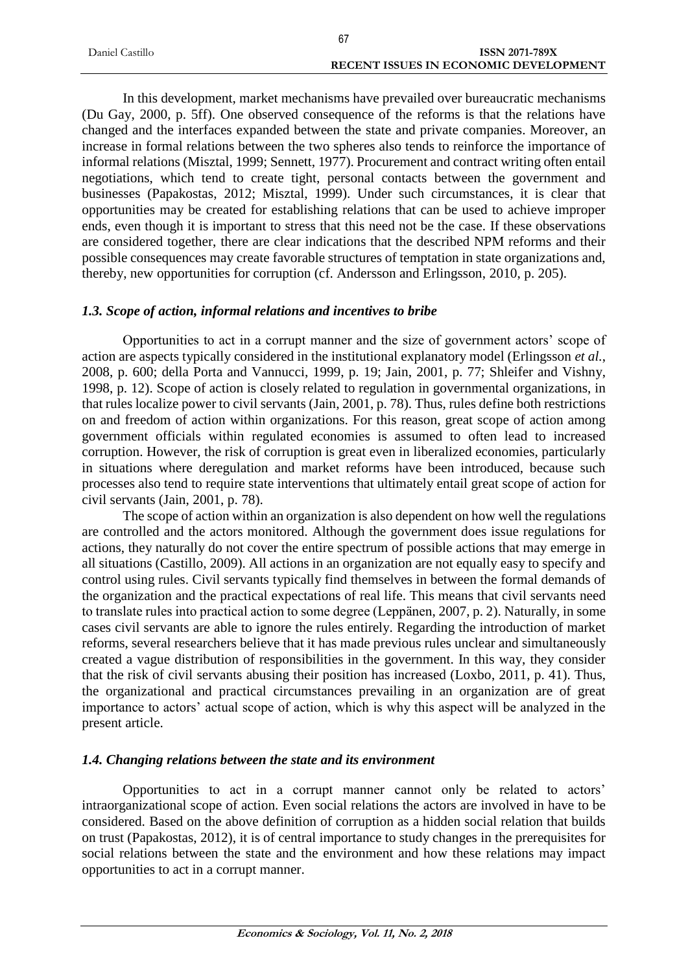|                 | 67                                           |
|-----------------|----------------------------------------------|
| Daniel Castillo | ISSN 2071-789X                               |
|                 | <b>RECENT ISSUES IN ECONOMIC DEVELOPMENT</b> |

In this development, market mechanisms have prevailed over bureaucratic mechanisms (Du Gay, 2000, p. 5ff). One observed consequence of the reforms is that the relations have changed and the interfaces expanded between the state and private companies. Moreover, an increase in formal relations between the two spheres also tends to reinforce the importance of informal relations (Misztal, 1999; Sennett, 1977). Procurement and contract writing often entail negotiations, which tend to create tight, personal contacts between the government and businesses (Papakostas, 2012; Misztal, 1999). Under such circumstances, it is clear that opportunities may be created for establishing relations that can be used to achieve improper ends, even though it is important to stress that this need not be the case. If these observations are considered together, there are clear indications that the described NPM reforms and their possible consequences may create favorable structures of temptation in state organizations and, thereby, new opportunities for corruption (cf. Andersson and Erlingsson, 2010, p. 205).

#### *1.3. Scope of action, informal relations and incentives to bribe*

Opportunities to act in a corrupt manner and the size of government actors' scope of action are aspects typically considered in the institutional explanatory model (Erlingsson *et al.*, 2008, p. 600; della Porta and Vannucci, 1999, p. 19; Jain, 2001, p. 77; Shleifer and Vishny, 1998, p. 12). Scope of action is closely related to regulation in governmental organizations, in that rules localize power to civil servants (Jain, 2001, p. 78). Thus, rules define both restrictions on and freedom of action within organizations. For this reason, great scope of action among government officials within regulated economies is assumed to often lead to increased corruption. However, the risk of corruption is great even in liberalized economies, particularly in situations where deregulation and market reforms have been introduced, because such processes also tend to require state interventions that ultimately entail great scope of action for civil servants (Jain, 2001, p. 78).

The scope of action within an organization is also dependent on how well the regulations are controlled and the actors monitored. Although the government does issue regulations for actions, they naturally do not cover the entire spectrum of possible actions that may emerge in all situations (Castillo, 2009). All actions in an organization are not equally easy to specify and control using rules. Civil servants typically find themselves in between the formal demands of the organization and the practical expectations of real life. This means that civil servants need to translate rules into practical action to some degree (Leppänen, 2007, p. 2). Naturally, in some cases civil servants are able to ignore the rules entirely. Regarding the introduction of market reforms, several researchers believe that it has made previous rules unclear and simultaneously created a vague distribution of responsibilities in the government. In this way, they consider that the risk of civil servants abusing their position has increased (Loxbo, 2011, p. 41). Thus, the organizational and practical circumstances prevailing in an organization are of great importance to actors' actual scope of action, which is why this aspect will be analyzed in the present article.

#### *1.4. Changing relations between the state and its environment*

Opportunities to act in a corrupt manner cannot only be related to actors' intraorganizational scope of action. Even social relations the actors are involved in have to be considered. Based on the above definition of corruption as a hidden social relation that builds on trust (Papakostas, 2012), it is of central importance to study changes in the prerequisites for social relations between the state and the environment and how these relations may impact opportunities to act in a corrupt manner.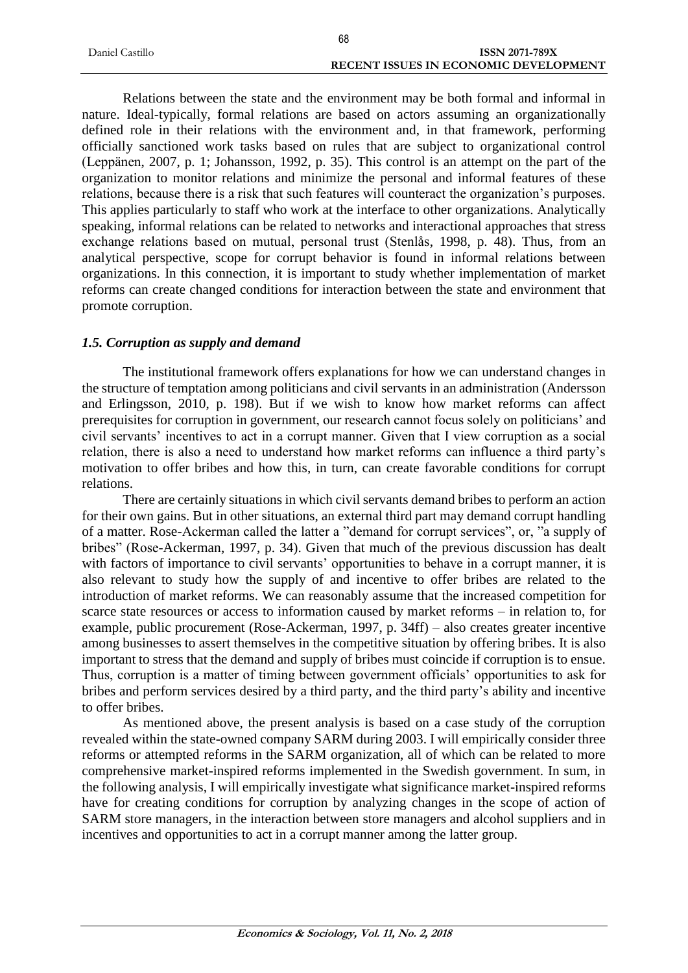|                 | 68                                           |
|-----------------|----------------------------------------------|
| Daniel Castillo | <b>ISSN 2071-789X</b>                        |
|                 | <b>RECENT ISSUES IN ECONOMIC DEVELOPMENT</b> |

Relations between the state and the environment may be both formal and informal in nature. Ideal-typically, formal relations are based on actors assuming an organizationally defined role in their relations with the environment and, in that framework, performing officially sanctioned work tasks based on rules that are subject to organizational control (Leppänen, 2007, p. 1; Johansson, 1992, p. 35). This control is an attempt on the part of the organization to monitor relations and minimize the personal and informal features of these relations, because there is a risk that such features will counteract the organization's purposes. This applies particularly to staff who work at the interface to other organizations. Analytically speaking, informal relations can be related to networks and interactional approaches that stress exchange relations based on mutual, personal trust (Stenlås, 1998, p. 48). Thus, from an analytical perspective, scope for corrupt behavior is found in informal relations between organizations. In this connection, it is important to study whether implementation of market reforms can create changed conditions for interaction between the state and environment that promote corruption.

# *1.5. Corruption as supply and demand*

The institutional framework offers explanations for how we can understand changes in the structure of temptation among politicians and civil servants in an administration (Andersson and Erlingsson, 2010, p. 198). But if we wish to know how market reforms can affect prerequisites for corruption in government, our research cannot focus solely on politicians' and civil servants' incentives to act in a corrupt manner. Given that I view corruption as a social relation, there is also a need to understand how market reforms can influence a third party's motivation to offer bribes and how this, in turn, can create favorable conditions for corrupt relations.

There are certainly situations in which civil servants demand bribes to perform an action for their own gains. But in other situations, an external third part may demand corrupt handling of a matter. Rose-Ackerman called the latter a "demand for corrupt services", or, "a supply of bribes" (Rose-Ackerman, 1997, p. 34). Given that much of the previous discussion has dealt with factors of importance to civil servants' opportunities to behave in a corrupt manner, it is also relevant to study how the supply of and incentive to offer bribes are related to the introduction of market reforms. We can reasonably assume that the increased competition for scarce state resources or access to information caused by market reforms – in relation to, for example, public procurement (Rose-Ackerman, 1997, p. 34ff) – also creates greater incentive among businesses to assert themselves in the competitive situation by offering bribes. It is also important to stress that the demand and supply of bribes must coincide if corruption is to ensue. Thus, corruption is a matter of timing between government officials' opportunities to ask for bribes and perform services desired by a third party, and the third party's ability and incentive to offer bribes.

As mentioned above, the present analysis is based on a case study of the corruption revealed within the state-owned company SARM during 2003. I will empirically consider three reforms or attempted reforms in the SARM organization, all of which can be related to more comprehensive market-inspired reforms implemented in the Swedish government. In sum, in the following analysis, I will empirically investigate what significance market-inspired reforms have for creating conditions for corruption by analyzing changes in the scope of action of SARM store managers, in the interaction between store managers and alcohol suppliers and in incentives and opportunities to act in a corrupt manner among the latter group.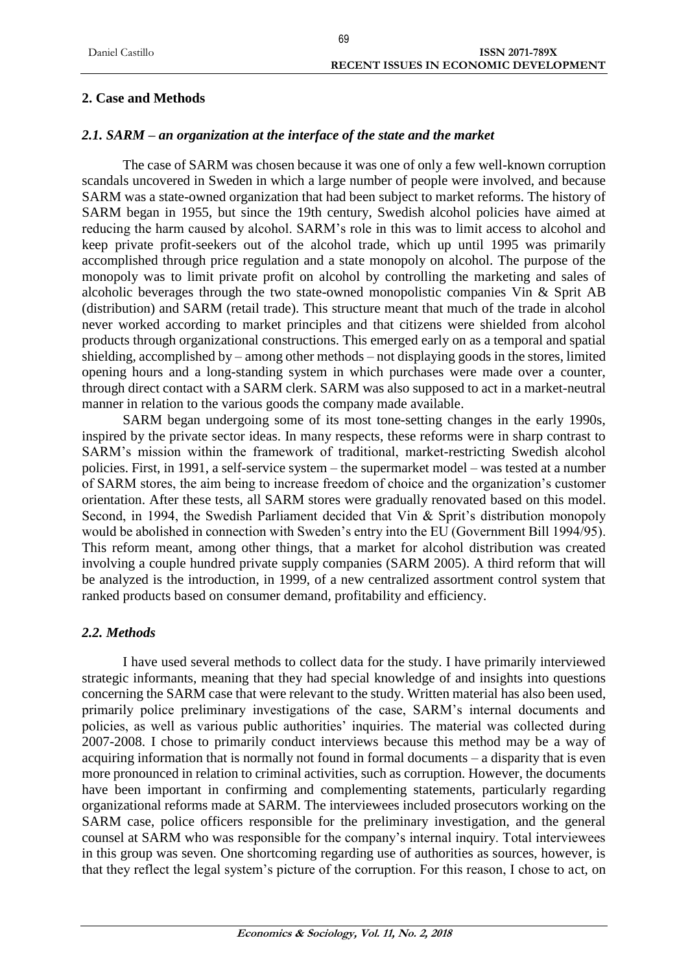# **2. Case and Methods**

# *2.1. SARM – an organization at the interface of the state and the market*

The case of SARM was chosen because it was one of only a few well-known corruption scandals uncovered in Sweden in which a large number of people were involved, and because SARM was a state-owned organization that had been subject to market reforms. The history of SARM began in 1955, but since the 19th century, Swedish alcohol policies have aimed at reducing the harm caused by alcohol. SARM's role in this was to limit access to alcohol and keep private profit-seekers out of the alcohol trade, which up until 1995 was primarily accomplished through price regulation and a state monopoly on alcohol. The purpose of the monopoly was to limit private profit on alcohol by controlling the marketing and sales of alcoholic beverages through the two state-owned monopolistic companies Vin & Sprit AB (distribution) and SARM (retail trade). This structure meant that much of the trade in alcohol never worked according to market principles and that citizens were shielded from alcohol products through organizational constructions. This emerged early on as a temporal and spatial shielding, accomplished by – among other methods – not displaying goods in the stores, limited opening hours and a long-standing system in which purchases were made over a counter, through direct contact with a SARM clerk. SARM was also supposed to act in a market-neutral manner in relation to the various goods the company made available.

SARM began undergoing some of its most tone-setting changes in the early 1990s, inspired by the private sector ideas. In many respects, these reforms were in sharp contrast to SARM's mission within the framework of traditional, market-restricting Swedish alcohol policies. First, in 1991, a self-service system – the supermarket model – was tested at a number of SARM stores, the aim being to increase freedom of choice and the organization's customer orientation. After these tests, all SARM stores were gradually renovated based on this model. Second, in 1994, the Swedish Parliament decided that Vin & Sprit's distribution monopoly would be abolished in connection with Sweden's entry into the EU (Government Bill 1994/95). This reform meant, among other things, that a market for alcohol distribution was created involving a couple hundred private supply companies (SARM 2005). A third reform that will be analyzed is the introduction, in 1999, of a new centralized assortment control system that ranked products based on consumer demand, profitability and efficiency.

# *2.2. Methods*

I have used several methods to collect data for the study. I have primarily interviewed strategic informants, meaning that they had special knowledge of and insights into questions concerning the SARM case that were relevant to the study. Written material has also been used, primarily police preliminary investigations of the case, SARM's internal documents and policies, as well as various public authorities' inquiries. The material was collected during 2007-2008. I chose to primarily conduct interviews because this method may be a way of acquiring information that is normally not found in formal documents – a disparity that is even more pronounced in relation to criminal activities, such as corruption. However, the documents have been important in confirming and complementing statements, particularly regarding organizational reforms made at SARM. The interviewees included prosecutors working on the SARM case, police officers responsible for the preliminary investigation, and the general counsel at SARM who was responsible for the company's internal inquiry. Total interviewees in this group was seven. One shortcoming regarding use of authorities as sources, however, is that they reflect the legal system's picture of the corruption. For this reason, I chose to act, on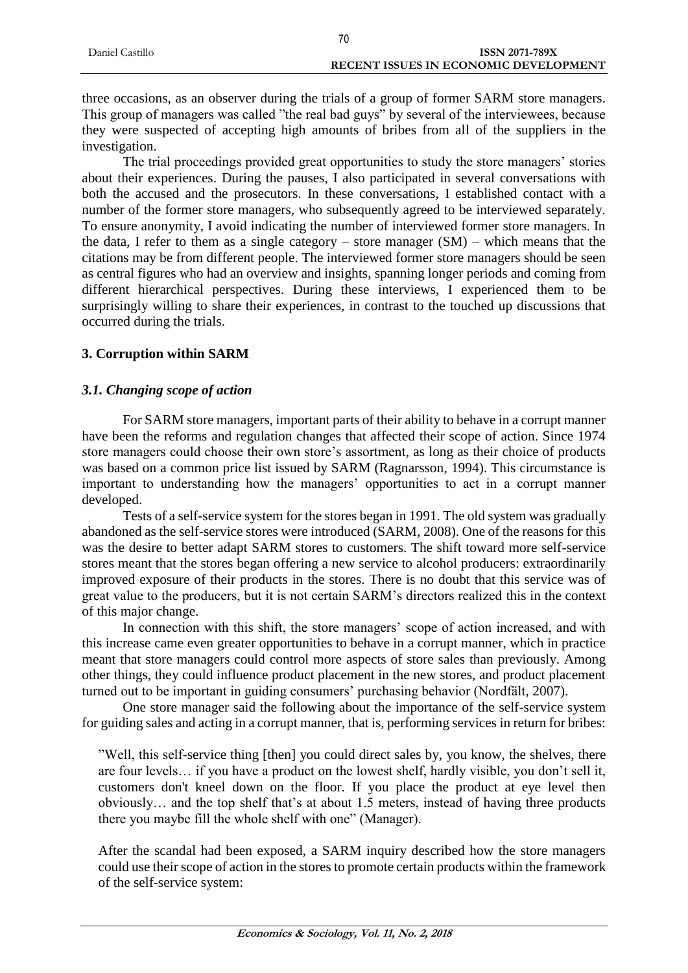|                 | 70                                    |                |
|-----------------|---------------------------------------|----------------|
| Daniel Castillo |                                       | ISSN 2071-789X |
|                 | RECENT ISSUES IN ECONOMIC DEVELOPMENT |                |

three occasions, as an observer during the trials of a group of former SARM store managers. This group of managers was called "the real bad guys" by several of the interviewees, because they were suspected of accepting high amounts of bribes from all of the suppliers in the investigation.

The trial proceedings provided great opportunities to study the store managers' stories about their experiences. During the pauses, I also participated in several conversations with both the accused and the prosecutors. In these conversations, I established contact with a number of the former store managers, who subsequently agreed to be interviewed separately. To ensure anonymity, I avoid indicating the number of interviewed former store managers. In the data, I refer to them as a single category – store manager  $(SM)$  – which means that the citations may be from different people. The interviewed former store managers should be seen as central figures who had an overview and insights, spanning longer periods and coming from different hierarchical perspectives. During these interviews, I experienced them to be surprisingly willing to share their experiences, in contrast to the touched up discussions that occurred during the trials.

# **3. Corruption within SARM**

### *3.1. Changing scope of action*

For SARM store managers, important parts of their ability to behave in a corrupt manner have been the reforms and regulation changes that affected their scope of action. Since 1974 store managers could choose their own store's assortment, as long as their choice of products was based on a common price list issued by SARM (Ragnarsson, 1994). This circumstance is important to understanding how the managers' opportunities to act in a corrupt manner developed.

Tests of a self-service system for the stores began in 1991. The old system was gradually abandoned as the self-service stores were introduced (SARM, 2008). One of the reasons for this was the desire to better adapt SARM stores to customers. The shift toward more self-service stores meant that the stores began offering a new service to alcohol producers: extraordinarily improved exposure of their products in the stores. There is no doubt that this service was of great value to the producers, but it is not certain SARM's directors realized this in the context of this major change.

In connection with this shift, the store managers' scope of action increased, and with this increase came even greater opportunities to behave in a corrupt manner, which in practice meant that store managers could control more aspects of store sales than previously. Among other things, they could influence product placement in the new stores, and product placement turned out to be important in guiding consumers' purchasing behavior (Nordfält, 2007).

One store manager said the following about the importance of the self-service system for guiding sales and acting in a corrupt manner, that is, performing services in return for bribes:

"Well, this self-service thing [then] you could direct sales by, you know, the shelves, there are four levels… if you have a product on the lowest shelf, hardly visible, you don't sell it, customers don't kneel down on the floor. If you place the product at eye level then obviously… and the top shelf that's at about 1.5 meters, instead of having three products there you maybe fill the whole shelf with one" (Manager).

After the scandal had been exposed, a SARM inquiry described how the store managers could use their scope of action in the stores to promote certain products within the framework of the self-service system: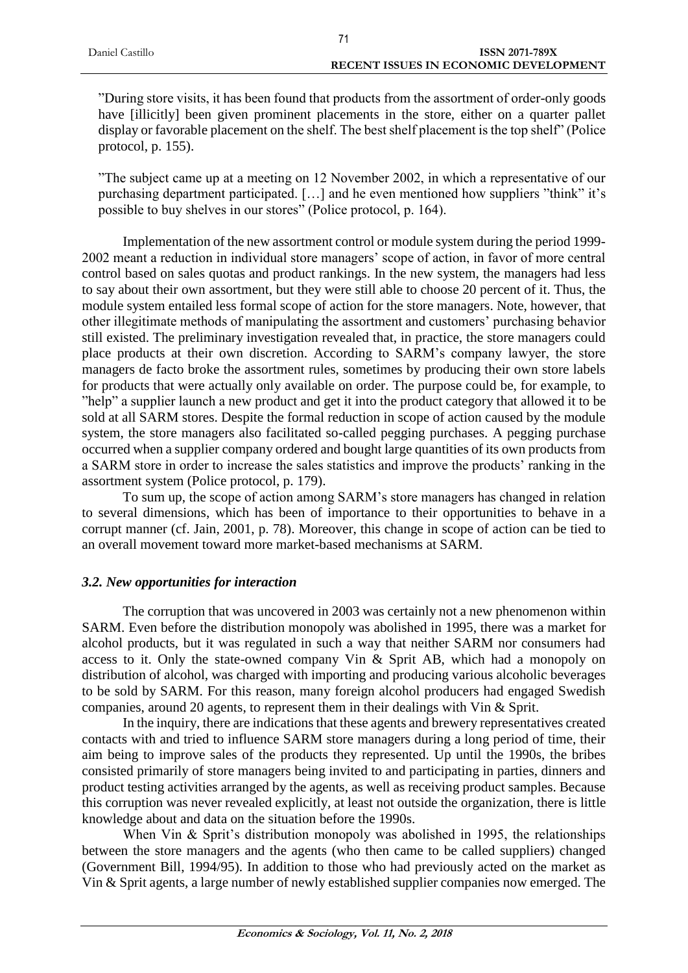| Daniel Castillo | <b>ISSN 2071-789X</b>                        |
|-----------------|----------------------------------------------|
|                 | <b>RECENT ISSUES IN ECONOMIC DEVELOPMENT</b> |
|                 |                                              |

"During store visits, it has been found that products from the assortment of order-only goods have [illicitly] been given prominent placements in the store, either on a quarter pallet display or favorable placement on the shelf. The best shelf placement is the top shelf" (Police protocol, p. 155).

"The subject came up at a meeting on 12 November 2002, in which a representative of our purchasing department participated. […] and he even mentioned how suppliers "think" it's possible to buy shelves in our stores" (Police protocol, p. 164).

Implementation of the new assortment control or module system during the period 1999- 2002 meant a reduction in individual store managers' scope of action, in favor of more central control based on sales quotas and product rankings. In the new system, the managers had less to say about their own assortment, but they were still able to choose 20 percent of it. Thus, the module system entailed less formal scope of action for the store managers. Note, however, that other illegitimate methods of manipulating the assortment and customers' purchasing behavior still existed. The preliminary investigation revealed that, in practice, the store managers could place products at their own discretion. According to SARM's company lawyer, the store managers de facto broke the assortment rules, sometimes by producing their own store labels for products that were actually only available on order. The purpose could be, for example, to "help" a supplier launch a new product and get it into the product category that allowed it to be sold at all SARM stores. Despite the formal reduction in scope of action caused by the module system, the store managers also facilitated so-called pegging purchases. A pegging purchase occurred when a supplier company ordered and bought large quantities of its own products from a SARM store in order to increase the sales statistics and improve the products' ranking in the assortment system (Police protocol, p. 179).

To sum up, the scope of action among SARM's store managers has changed in relation to several dimensions, which has been of importance to their opportunities to behave in a corrupt manner (cf. Jain, 2001, p. 78). Moreover, this change in scope of action can be tied to an overall movement toward more market-based mechanisms at SARM.

# *3.2. New opportunities for interaction*

The corruption that was uncovered in 2003 was certainly not a new phenomenon within SARM. Even before the distribution monopoly was abolished in 1995, there was a market for alcohol products, but it was regulated in such a way that neither SARM nor consumers had access to it. Only the state-owned company Vin & Sprit AB, which had a monopoly on distribution of alcohol, was charged with importing and producing various alcoholic beverages to be sold by SARM. For this reason, many foreign alcohol producers had engaged Swedish companies, around 20 agents, to represent them in their dealings with Vin & Sprit.

In the inquiry, there are indications that these agents and brewery representatives created contacts with and tried to influence SARM store managers during a long period of time, their aim being to improve sales of the products they represented. Up until the 1990s, the bribes consisted primarily of store managers being invited to and participating in parties, dinners and product testing activities arranged by the agents, as well as receiving product samples. Because this corruption was never revealed explicitly, at least not outside the organization, there is little knowledge about and data on the situation before the 1990s.

When Vin & Sprit's distribution monopoly was abolished in 1995, the relationships between the store managers and the agents (who then came to be called suppliers) changed (Government Bill, 1994/95). In addition to those who had previously acted on the market as Vin & Sprit agents, a large number of newly established supplier companies now emerged. The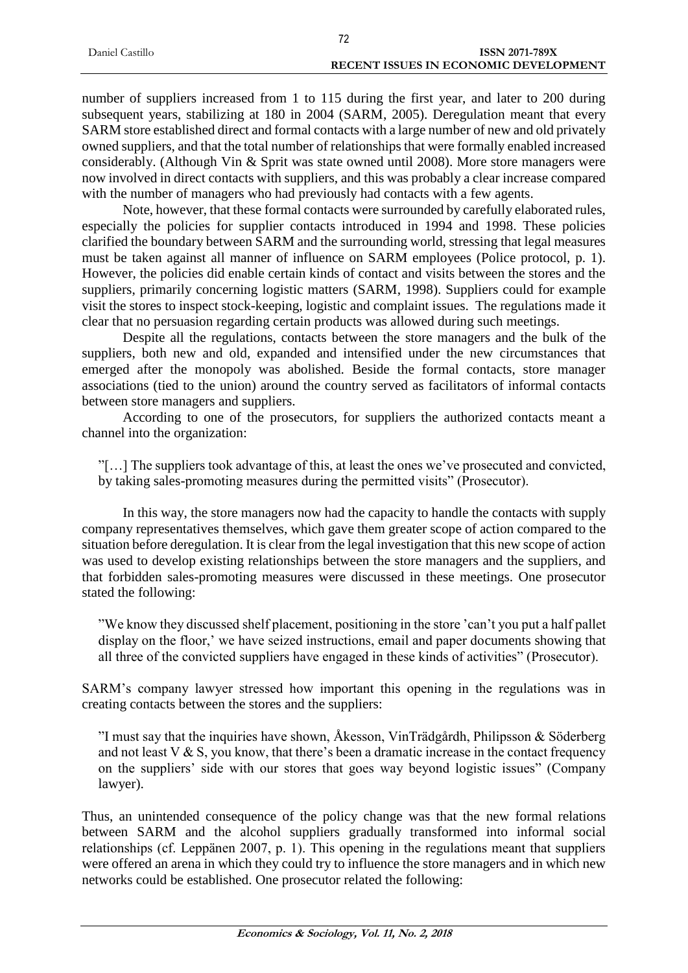| - Daniel Castillo | <b>ISSN 2071-789X</b>                        |
|-------------------|----------------------------------------------|
|                   | <b>RECENT ISSUES IN ECONOMIC DEVELOPMENT</b> |

number of suppliers increased from 1 to 115 during the first year, and later to 200 during subsequent years, stabilizing at 180 in 2004 (SARM, 2005). Deregulation meant that every SARM store established direct and formal contacts with a large number of new and old privately owned suppliers, and that the total number of relationships that were formally enabled increased considerably. (Although Vin & Sprit was state owned until 2008). More store managers were now involved in direct contacts with suppliers, and this was probably a clear increase compared with the number of managers who had previously had contacts with a few agents.

Note, however, that these formal contacts were surrounded by carefully elaborated rules, especially the policies for supplier contacts introduced in 1994 and 1998. These policies clarified the boundary between SARM and the surrounding world, stressing that legal measures must be taken against all manner of influence on SARM employees (Police protocol, p. 1). However, the policies did enable certain kinds of contact and visits between the stores and the suppliers, primarily concerning logistic matters (SARM, 1998). Suppliers could for example visit the stores to inspect stock-keeping, logistic and complaint issues. The regulations made it clear that no persuasion regarding certain products was allowed during such meetings.

Despite all the regulations, contacts between the store managers and the bulk of the suppliers, both new and old, expanded and intensified under the new circumstances that emerged after the monopoly was abolished. Beside the formal contacts, store manager associations (tied to the union) around the country served as facilitators of informal contacts between store managers and suppliers.

According to one of the prosecutors, for suppliers the authorized contacts meant a channel into the organization:

"[…] The suppliers took advantage of this, at least the ones we've prosecuted and convicted, by taking sales-promoting measures during the permitted visits" (Prosecutor).

In this way, the store managers now had the capacity to handle the contacts with supply company representatives themselves, which gave them greater scope of action compared to the situation before deregulation. It is clear from the legal investigation that this new scope of action was used to develop existing relationships between the store managers and the suppliers, and that forbidden sales-promoting measures were discussed in these meetings. One prosecutor stated the following:

"We know they discussed shelf placement, positioning in the store 'can't you put a half pallet display on the floor,' we have seized instructions, email and paper documents showing that all three of the convicted suppliers have engaged in these kinds of activities" (Prosecutor).

SARM's company lawyer stressed how important this opening in the regulations was in creating contacts between the stores and the suppliers:

"I must say that the inquiries have shown, Åkesson, VinTrädgårdh, Philipsson & Söderberg and not least  $V & S$ , you know, that there's been a dramatic increase in the contact frequency on the suppliers' side with our stores that goes way beyond logistic issues" (Company lawyer).

Thus, an unintended consequence of the policy change was that the new formal relations between SARM and the alcohol suppliers gradually transformed into informal social relationships (cf. Leppänen 2007, p. 1). This opening in the regulations meant that suppliers were offered an arena in which they could try to influence the store managers and in which new networks could be established. One prosecutor related the following: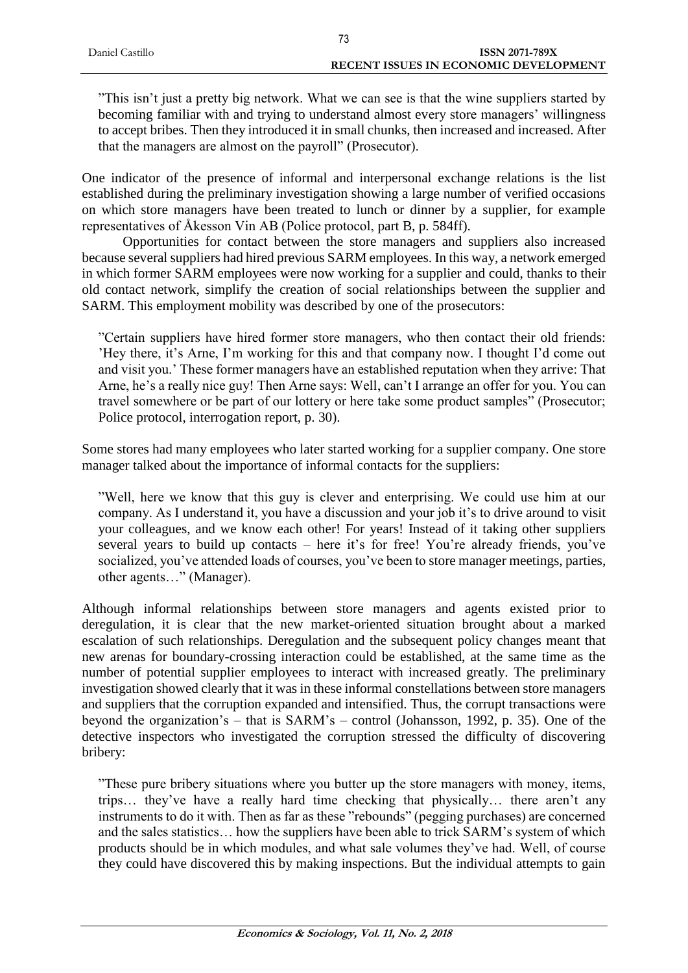| Daniel Castillo | ISSN 2071-789X                        |
|-----------------|---------------------------------------|
|                 | RECENT ISSUES IN ECONOMIC DEVELOPMENT |
|                 |                                       |

"This isn't just a pretty big network. What we can see is that the wine suppliers started by becoming familiar with and trying to understand almost every store managers' willingness to accept bribes. Then they introduced it in small chunks, then increased and increased. After that the managers are almost on the payroll" (Prosecutor).

One indicator of the presence of informal and interpersonal exchange relations is the list established during the preliminary investigation showing a large number of verified occasions on which store managers have been treated to lunch or dinner by a supplier, for example representatives of Åkesson Vin AB (Police protocol, part B, p. 584ff).

Opportunities for contact between the store managers and suppliers also increased because several suppliers had hired previous SARM employees. In this way, a network emerged in which former SARM employees were now working for a supplier and could, thanks to their old contact network, simplify the creation of social relationships between the supplier and SARM. This employment mobility was described by one of the prosecutors:

"Certain suppliers have hired former store managers, who then contact their old friends: 'Hey there, it's Arne, I'm working for this and that company now. I thought I'd come out and visit you.' These former managers have an established reputation when they arrive: That Arne, he's a really nice guy! Then Arne says: Well, can't I arrange an offer for you. You can travel somewhere or be part of our lottery or here take some product samples" (Prosecutor; Police protocol, interrogation report, p. 30).

Some stores had many employees who later started working for a supplier company. One store manager talked about the importance of informal contacts for the suppliers:

"Well, here we know that this guy is clever and enterprising. We could use him at our company. As I understand it, you have a discussion and your job it's to drive around to visit your colleagues, and we know each other! For years! Instead of it taking other suppliers several years to build up contacts – here it's for free! You're already friends, you've socialized, you've attended loads of courses, you've been to store manager meetings, parties, other agents…" (Manager).

Although informal relationships between store managers and agents existed prior to deregulation, it is clear that the new market-oriented situation brought about a marked escalation of such relationships. Deregulation and the subsequent policy changes meant that new arenas for boundary-crossing interaction could be established, at the same time as the number of potential supplier employees to interact with increased greatly. The preliminary investigation showed clearly that it was in these informal constellations between store managers and suppliers that the corruption expanded and intensified. Thus, the corrupt transactions were beyond the organization's – that is SARM's – control (Johansson, 1992, p. 35). One of the detective inspectors who investigated the corruption stressed the difficulty of discovering bribery:

"These pure bribery situations where you butter up the store managers with money, items, trips… they've have a really hard time checking that physically… there aren't any instruments to do it with. Then as far as these "rebounds" (pegging purchases) are concerned and the sales statistics… how the suppliers have been able to trick SARM's system of which products should be in which modules, and what sale volumes they've had. Well, of course they could have discovered this by making inspections. But the individual attempts to gain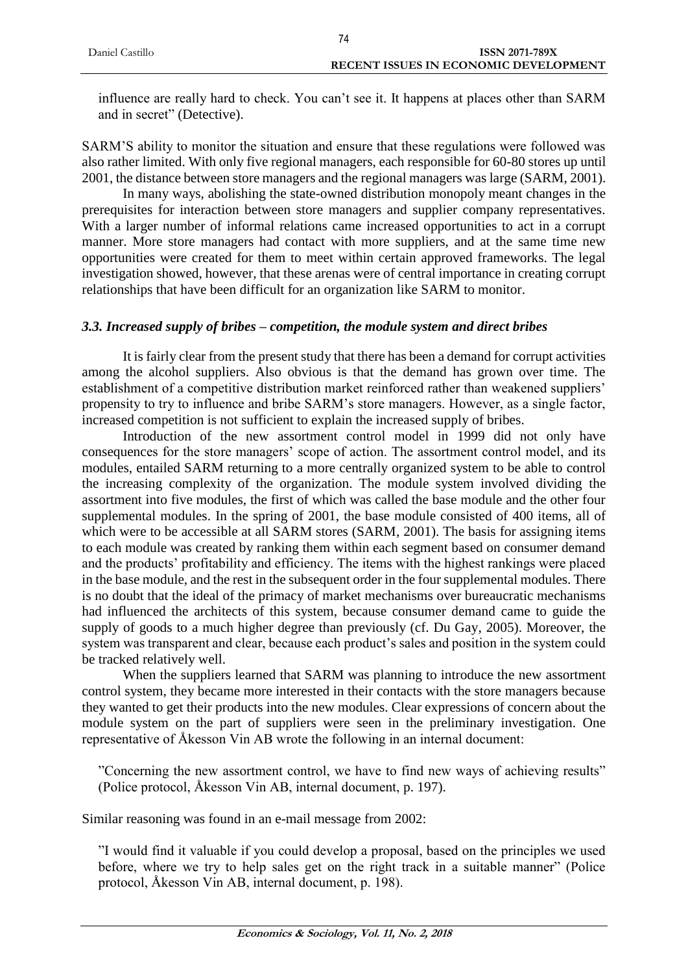| Daniel Castillo | <b>ISSN 2071-789X</b>                        |
|-----------------|----------------------------------------------|
|                 | <b>RECENT ISSUES IN ECONOMIC DEVELOPMENT</b> |
|                 |                                              |

influence are really hard to check. You can't see it. It happens at places other than SARM and in secret" (Detective).

SARM'S ability to monitor the situation and ensure that these regulations were followed was also rather limited. With only five regional managers, each responsible for 60-80 stores up until 2001, the distance between store managers and the regional managers was large (SARM, 2001).

In many ways, abolishing the state-owned distribution monopoly meant changes in the prerequisites for interaction between store managers and supplier company representatives. With a larger number of informal relations came increased opportunities to act in a corrupt manner. More store managers had contact with more suppliers, and at the same time new opportunities were created for them to meet within certain approved frameworks. The legal investigation showed, however, that these arenas were of central importance in creating corrupt relationships that have been difficult for an organization like SARM to monitor.

### *3.3. Increased supply of bribes – competition, the module system and direct bribes*

It is fairly clear from the present study that there has been a demand for corrupt activities among the alcohol suppliers. Also obvious is that the demand has grown over time. The establishment of a competitive distribution market reinforced rather than weakened suppliers' propensity to try to influence and bribe SARM's store managers. However, as a single factor, increased competition is not sufficient to explain the increased supply of bribes.

Introduction of the new assortment control model in 1999 did not only have consequences for the store managers' scope of action. The assortment control model, and its modules, entailed SARM returning to a more centrally organized system to be able to control the increasing complexity of the organization. The module system involved dividing the assortment into five modules, the first of which was called the base module and the other four supplemental modules. In the spring of 2001, the base module consisted of 400 items, all of which were to be accessible at all SARM stores (SARM, 2001). The basis for assigning items to each module was created by ranking them within each segment based on consumer demand and the products' profitability and efficiency. The items with the highest rankings were placed in the base module, and the rest in the subsequent order in the four supplemental modules. There is no doubt that the ideal of the primacy of market mechanisms over bureaucratic mechanisms had influenced the architects of this system, because consumer demand came to guide the supply of goods to a much higher degree than previously (cf. Du Gay, 2005). Moreover, the system was transparent and clear, because each product's sales and position in the system could be tracked relatively well.

When the suppliers learned that SARM was planning to introduce the new assortment control system, they became more interested in their contacts with the store managers because they wanted to get their products into the new modules. Clear expressions of concern about the module system on the part of suppliers were seen in the preliminary investigation. One representative of Åkesson Vin AB wrote the following in an internal document:

"Concerning the new assortment control, we have to find new ways of achieving results" (Police protocol, Åkesson Vin AB, internal document, p. 197).

Similar reasoning was found in an e-mail message from 2002:

"I would find it valuable if you could develop a proposal, based on the principles we used before, where we try to help sales get on the right track in a suitable manner" (Police protocol, Åkesson Vin AB, internal document, p. 198).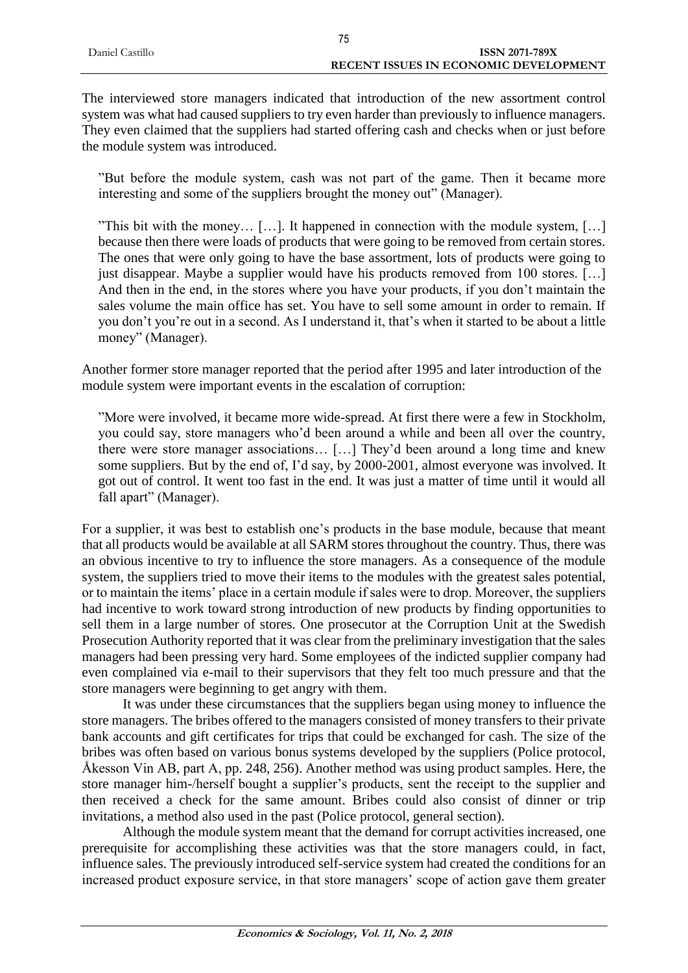| <b>ISSN 2071-789X</b>                 |
|---------------------------------------|
| RECENT ISSUES IN ECONOMIC DEVELOPMENT |
|                                       |

The interviewed store managers indicated that introduction of the new assortment control system was what had caused suppliers to try even harder than previously to influence managers. They even claimed that the suppliers had started offering cash and checks when or just before the module system was introduced.

"But before the module system, cash was not part of the game. Then it became more interesting and some of the suppliers brought the money out" (Manager).

"This bit with the money… […]. It happened in connection with the module system, […] because then there were loads of products that were going to be removed from certain stores. The ones that were only going to have the base assortment, lots of products were going to just disappear. Maybe a supplier would have his products removed from 100 stores. […] And then in the end, in the stores where you have your products, if you don't maintain the sales volume the main office has set. You have to sell some amount in order to remain. If you don't you're out in a second. As I understand it, that's when it started to be about a little money" (Manager).

Another former store manager reported that the period after 1995 and later introduction of the module system were important events in the escalation of corruption:

"More were involved, it became more wide-spread. At first there were a few in Stockholm, you could say, store managers who'd been around a while and been all over the country, there were store manager associations… […] They'd been around a long time and knew some suppliers. But by the end of, I'd say, by 2000-2001, almost everyone was involved. It got out of control. It went too fast in the end. It was just a matter of time until it would all fall apart" (Manager).

For a supplier, it was best to establish one's products in the base module, because that meant that all products would be available at all SARM stores throughout the country. Thus, there was an obvious incentive to try to influence the store managers. As a consequence of the module system, the suppliers tried to move their items to the modules with the greatest sales potential, or to maintain the items' place in a certain module if sales were to drop. Moreover, the suppliers had incentive to work toward strong introduction of new products by finding opportunities to sell them in a large number of stores. One prosecutor at the Corruption Unit at the Swedish Prosecution Authority reported that it was clear from the preliminary investigation that the sales managers had been pressing very hard. Some employees of the indicted supplier company had even complained via e-mail to their supervisors that they felt too much pressure and that the store managers were beginning to get angry with them.

It was under these circumstances that the suppliers began using money to influence the store managers. The bribes offered to the managers consisted of money transfers to their private bank accounts and gift certificates for trips that could be exchanged for cash. The size of the bribes was often based on various bonus systems developed by the suppliers (Police protocol, Åkesson Vin AB, part A, pp. 248, 256). Another method was using product samples. Here, the store manager him-/herself bought a supplier's products, sent the receipt to the supplier and then received a check for the same amount. Bribes could also consist of dinner or trip invitations, a method also used in the past (Police protocol, general section).

Although the module system meant that the demand for corrupt activities increased, one prerequisite for accomplishing these activities was that the store managers could, in fact, influence sales. The previously introduced self-service system had created the conditions for an increased product exposure service, in that store managers' scope of action gave them greater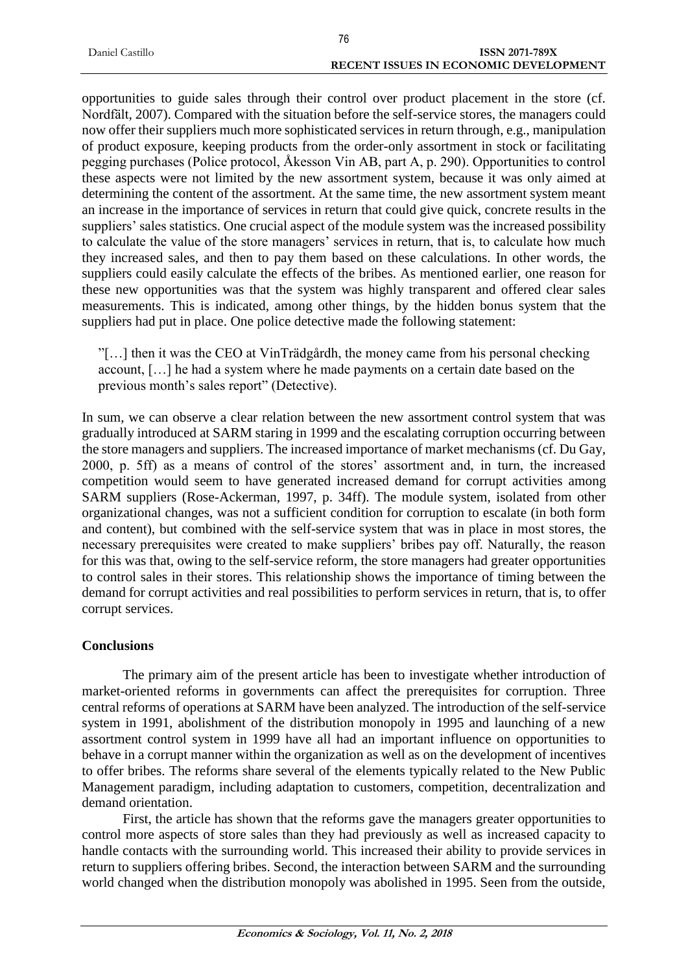| Daniel Castillo | <b>ISSN 2071-789X</b>                        |
|-----------------|----------------------------------------------|
|                 | <b>RECENT ISSUES IN ECONOMIC DEVELOPMENT</b> |

opportunities to guide sales through their control over product placement in the store (cf. Nordfält, 2007). Compared with the situation before the self-service stores, the managers could now offer their suppliers much more sophisticated services in return through, e.g., manipulation of product exposure, keeping products from the order-only assortment in stock or facilitating pegging purchases (Police protocol, Åkesson Vin AB, part A, p. 290). Opportunities to control these aspects were not limited by the new assortment system, because it was only aimed at determining the content of the assortment. At the same time, the new assortment system meant an increase in the importance of services in return that could give quick, concrete results in the suppliers' sales statistics. One crucial aspect of the module system was the increased possibility to calculate the value of the store managers' services in return, that is, to calculate how much they increased sales, and then to pay them based on these calculations. In other words, the suppliers could easily calculate the effects of the bribes. As mentioned earlier, one reason for these new opportunities was that the system was highly transparent and offered clear sales measurements. This is indicated, among other things, by the hidden bonus system that the suppliers had put in place. One police detective made the following statement:

"[…] then it was the CEO at VinTrädgårdh, the money came from his personal checking account, […] he had a system where he made payments on a certain date based on the previous month's sales report" (Detective).

In sum, we can observe a clear relation between the new assortment control system that was gradually introduced at SARM staring in 1999 and the escalating corruption occurring between the store managers and suppliers. The increased importance of market mechanisms (cf. Du Gay, 2000, p. 5ff) as a means of control of the stores' assortment and, in turn, the increased competition would seem to have generated increased demand for corrupt activities among SARM suppliers (Rose-Ackerman, 1997, p. 34ff). The module system, isolated from other organizational changes, was not a sufficient condition for corruption to escalate (in both form and content), but combined with the self-service system that was in place in most stores, the necessary prerequisites were created to make suppliers' bribes pay off. Naturally, the reason for this was that, owing to the self-service reform, the store managers had greater opportunities to control sales in their stores. This relationship shows the importance of timing between the demand for corrupt activities and real possibilities to perform services in return, that is, to offer corrupt services.

# **Conclusions**

The primary aim of the present article has been to investigate whether introduction of market-oriented reforms in governments can affect the prerequisites for corruption. Three central reforms of operations at SARM have been analyzed. The introduction of the self-service system in 1991, abolishment of the distribution monopoly in 1995 and launching of a new assortment control system in 1999 have all had an important influence on opportunities to behave in a corrupt manner within the organization as well as on the development of incentives to offer bribes. The reforms share several of the elements typically related to the New Public Management paradigm, including adaptation to customers, competition, decentralization and demand orientation.

First, the article has shown that the reforms gave the managers greater opportunities to control more aspects of store sales than they had previously as well as increased capacity to handle contacts with the surrounding world. This increased their ability to provide services in return to suppliers offering bribes. Second, the interaction between SARM and the surrounding world changed when the distribution monopoly was abolished in 1995. Seen from the outside,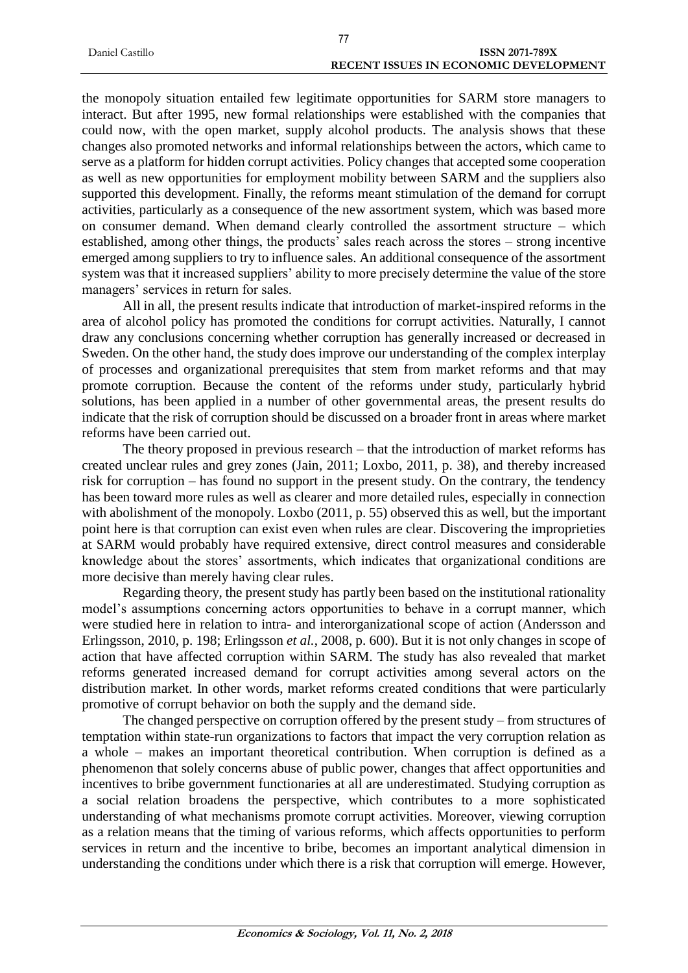| Daniel Castillo | <b>ISSN 2071-789X</b>                 |  |
|-----------------|---------------------------------------|--|
|                 | RECENT ISSUES IN ECONOMIC DEVELOPMENT |  |

the monopoly situation entailed few legitimate opportunities for SARM store managers to interact. But after 1995, new formal relationships were established with the companies that could now, with the open market, supply alcohol products. The analysis shows that these changes also promoted networks and informal relationships between the actors, which came to serve as a platform for hidden corrupt activities. Policy changes that accepted some cooperation as well as new opportunities for employment mobility between SARM and the suppliers also supported this development. Finally, the reforms meant stimulation of the demand for corrupt activities, particularly as a consequence of the new assortment system, which was based more on consumer demand. When demand clearly controlled the assortment structure – which established, among other things, the products' sales reach across the stores – strong incentive emerged among suppliers to try to influence sales. An additional consequence of the assortment system was that it increased suppliers' ability to more precisely determine the value of the store managers' services in return for sales.

All in all, the present results indicate that introduction of market-inspired reforms in the area of alcohol policy has promoted the conditions for corrupt activities. Naturally, I cannot draw any conclusions concerning whether corruption has generally increased or decreased in Sweden. On the other hand, the study does improve our understanding of the complex interplay of processes and organizational prerequisites that stem from market reforms and that may promote corruption. Because the content of the reforms under study, particularly hybrid solutions, has been applied in a number of other governmental areas, the present results do indicate that the risk of corruption should be discussed on a broader front in areas where market reforms have been carried out.

The theory proposed in previous research – that the introduction of market reforms has created unclear rules and grey zones (Jain, 2011; Loxbo, 2011, p. 38), and thereby increased risk for corruption – has found no support in the present study. On the contrary, the tendency has been toward more rules as well as clearer and more detailed rules, especially in connection with abolishment of the monopoly. Loxbo (2011, p. 55) observed this as well, but the important point here is that corruption can exist even when rules are clear. Discovering the improprieties at SARM would probably have required extensive, direct control measures and considerable knowledge about the stores' assortments, which indicates that organizational conditions are more decisive than merely having clear rules.

Regarding theory, the present study has partly been based on the institutional rationality model's assumptions concerning actors opportunities to behave in a corrupt manner, which were studied here in relation to intra- and interorganizational scope of action (Andersson and Erlingsson, 2010, p. 198; Erlingsson *et al.*, 2008, p. 600). But it is not only changes in scope of action that have affected corruption within SARM. The study has also revealed that market reforms generated increased demand for corrupt activities among several actors on the distribution market. In other words, market reforms created conditions that were particularly promotive of corrupt behavior on both the supply and the demand side.

The changed perspective on corruption offered by the present study – from structures of temptation within state-run organizations to factors that impact the very corruption relation as a whole – makes an important theoretical contribution. When corruption is defined as a phenomenon that solely concerns abuse of public power, changes that affect opportunities and incentives to bribe government functionaries at all are underestimated. Studying corruption as a social relation broadens the perspective, which contributes to a more sophisticated understanding of what mechanisms promote corrupt activities. Moreover, viewing corruption as a relation means that the timing of various reforms, which affects opportunities to perform services in return and the incentive to bribe, becomes an important analytical dimension in understanding the conditions under which there is a risk that corruption will emerge. However,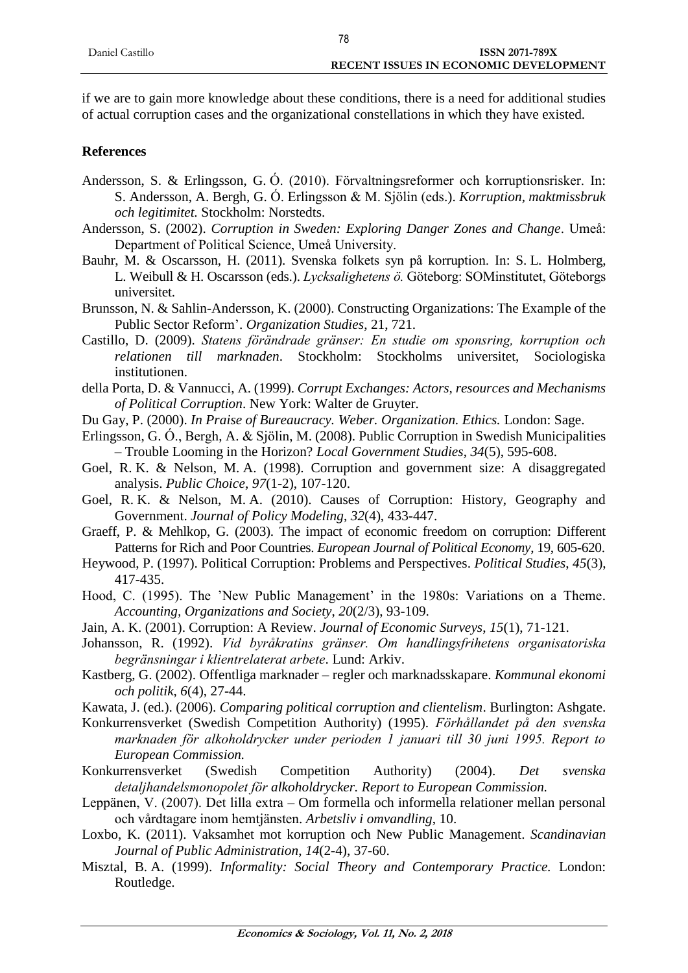if we are to gain more knowledge about these conditions, there is a need for additional studies of actual corruption cases and the organizational constellations in which they have existed.

# **References**

- Andersson, S. & Erlingsson, G. Ó. (2010). Förvaltningsreformer och korruptionsrisker. In: S. Andersson, A. Bergh, G. Ó. Erlingsson & M. Sjölin (eds.). *Korruption, maktmissbruk och legitimitet.* Stockholm: Norstedts.
- Andersson, S. (2002). *Corruption in Sweden: Exploring Danger Zones and Change*. Umeå: Department of Political Science, Umeå University.
- Bauhr, M. & Oscarsson, H. (2011). Svenska folkets syn på korruption. In: S. L. Holmberg, L. Weibull & H. Oscarsson (eds.). *Lycksalighetens ö.* Göteborg: SOMinstitutet, Göteborgs universitet.
- Brunsson, N. & Sahlin-Andersson, K. (2000). Constructing Organizations: The Example of the Public Sector Reform'. *Organization Studies*, 21, 721.
- Castillo, D. (2009). *Statens förändrade gränser: En studie om sponsring, korruption och relationen till marknaden*. Stockholm: Stockholms universitet, Sociologiska institutionen.
- della Porta, D. & Vannucci, A. (1999). *Corrupt Exchanges: Actors, resources and Mechanisms of Political Corruption*. New York: Walter de Gruyter.
- Du Gay, P. (2000). *In Praise of Bureaucracy. Weber. Organization. Ethics.* London: Sage.
- Erlingsson, G. Ó., Bergh, A. & Sjölin, M. (2008). Public Corruption in Swedish Municipalities – Trouble Looming in the Horizon? *Local Government Studies*, *34*(5), 595-608.
- Goel, R. K. & Nelson, M. A. (1998). Corruption and government size: A disaggregated analysis. *Public Choice*, *97*(1-2), 107-120.
- Goel, R. K. & Nelson, M. A. (2010). Causes of Corruption: History, Geography and Government. *Journal of Policy Modeling*, *32*(4), 433-447.
- Graeff, P. & Mehlkop, G. (2003). The impact of economic freedom on corruption: Different Patterns for Rich and Poor Countries. *European Journal of Political Economy*, 19, 605-620.
- Heywood, P. (1997). Political Corruption: Problems and Perspectives. *Political Studies*, *45*(3), 417-435.
- Hood, C. (1995). The 'New Public Management' in the 1980s: Variations on a Theme. *Accounting, Organizations and Society*, *20*(2/3), 93-109.
- Jain, A. K. (2001). Corruption: A Review. *Journal of Economic Surveys*, *15*(1), 71-121.
- Johansson, R. (1992). *Vid byråkratins gränser. Om handlingsfrihetens organisatoriska begränsningar i klientrelaterat arbete*. Lund: Arkiv.
- Kastberg, G. (2002). Offentliga marknader regler och marknadsskapare. *Kommunal ekonomi och politik*, *6*(4), 27-44.
- Kawata, J. (ed.). (2006). *Comparing political corruption and clientelism*. Burlington: Ashgate.
- Konkurrensverket (Swedish Competition Authority) (1995). *Förhållandet på den svenska marknaden för alkoholdrycker under perioden 1 januari till 30 juni 1995. Report to European Commission.*
- Konkurrensverket (Swedish Competition Authority) (2004). *Det svenska detaljhandelsmonopolet för alkoholdrycker. Report to European Commission.*
- Leppänen, V. (2007). Det lilla extra Om formella och informella relationer mellan personal och vårdtagare inom hemtjänsten. *Arbetsliv i omvandling*, 10.
- Loxbo, K. (2011). Vaksamhet mot korruption och New Public Management. *Scandinavian Journal of Public Administration*, *14*(2-4), 37-60.
- Misztal, B. A. (1999). *Informality: Social Theory and Contemporary Practice.* London: Routledge.